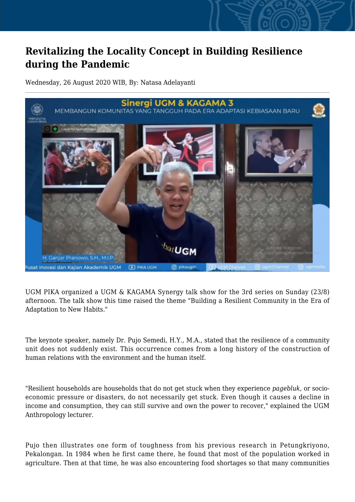## **Revitalizing the Locality Concept in Building Resilience during the Pandemic**

Wednesday, 26 August 2020 WIB, By: Natasa Adelayanti



UGM PIKA organized a UGM & KAGAMA Synergy talk show for the 3rd series on Sunday (23/8) afternoon. The talk show this time raised the theme "Building a Resilient Community in the Era of Adaptation to New Habits."

The keynote speaker, namely Dr. Pujo Semedi, H.Y., M.A., stated that the resilience of a community unit does not suddenly exist. This occurrence comes from a long history of the construction of human relations with the environment and the human itself.

"Resilient households are households that do not get stuck when they experience *pagebluk*, or socioeconomic pressure or disasters, do not necessarily get stuck. Even though it causes a decline in income and consumption, they can still survive and own the power to recover," explained the UGM Anthropology lecturer.

Pujo then illustrates one form of toughness from his previous research in Petungkriyono, Pekalongan. In 1984 when he first came there, he found that most of the population worked in agriculture. Then at that time, he was also encountering food shortages so that many communities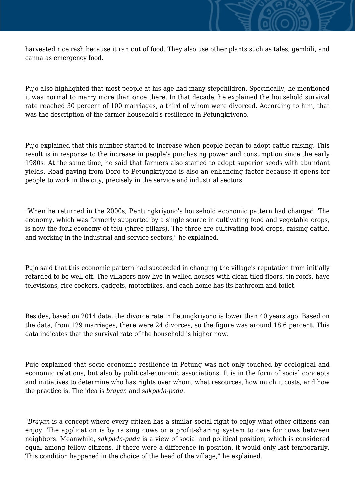harvested rice rash because it ran out of food. They also use other plants such as tales, gembili, and canna as emergency food.

Pujo also highlighted that most people at his age had many stepchildren. Specifically, he mentioned it was normal to marry more than once there. In that decade, he explained the household survival rate reached 30 percent of 100 marriages, a third of whom were divorced. According to him, that was the description of the farmer household's resilience in Petungkriyono.

Pujo explained that this number started to increase when people began to adopt cattle raising. This result is in response to the increase in people's purchasing power and consumption since the early 1980s. At the same time, he said that farmers also started to adopt superior seeds with abundant yields. Road paving from Doro to Petungkriyono is also an enhancing factor because it opens for people to work in the city, precisely in the service and industrial sectors.

"When he returned in the 2000s, Pentungkriyono's household economic pattern had changed. The economy, which was formerly supported by a single source in cultivating food and vegetable crops, is now the fork economy of telu (three pillars). The three are cultivating food crops, raising cattle, and working in the industrial and service sectors," he explained.

Pujo said that this economic pattern had succeeded in changing the village's reputation from initially retarded to be well-off. The villagers now live in walled houses with clean tiled floors, tin roofs, have televisions, rice cookers, gadgets, motorbikes, and each home has its bathroom and toilet.

Besides, based on 2014 data, the divorce rate in Petungkriyono is lower than 40 years ago. Based on the data, from 129 marriages, there were 24 divorces, so the figure was around 18.6 percent. This data indicates that the survival rate of the household is higher now.

Pujo explained that socio-economic resilience in Petung was not only touched by ecological and economic relations, but also by political-economic associations. It is in the form of social concepts and initiatives to determine who has rights over whom, what resources, how much it costs, and how the practice is. The idea is *brayan* and *sakpada-pada*.

"*Brayan* is a concept where every citizen has a similar social right to enjoy what other citizens can enjoy. The application is by raising cows or a profit-sharing system to care for cows between neighbors. Meanwhile, *sakpada-pada* is a view of social and political position, which is considered equal among fellow citizens. If there were a difference in position, it would only last temporarily. This condition happened in the choice of the head of the village," he explained.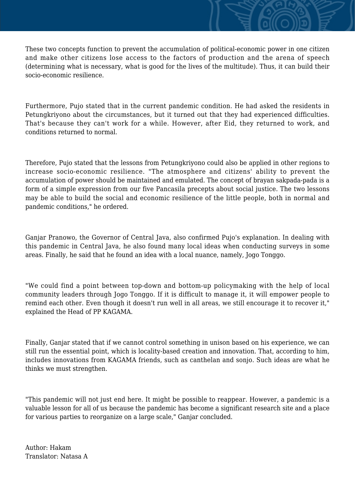These two concepts function to prevent the accumulation of political-economic power in one citizen and make other citizens lose access to the factors of production and the arena of speech (determining what is necessary, what is good for the lives of the multitude). Thus, it can build their socio-economic resilience.

Furthermore, Pujo stated that in the current pandemic condition. He had asked the residents in Petungkriyono about the circumstances, but it turned out that they had experienced difficulties. That's because they can't work for a while. However, after Eid, they returned to work, and conditions returned to normal.

Therefore, Pujo stated that the lessons from Petungkriyono could also be applied in other regions to increase socio-economic resilience. "The atmosphere and citizens' ability to prevent the accumulation of power should be maintained and emulated. The concept of brayan sakpada-pada is a form of a simple expression from our five Pancasila precepts about social justice. The two lessons may be able to build the social and economic resilience of the little people, both in normal and pandemic conditions," he ordered.

Ganjar Pranowo, the Governor of Central Java, also confirmed Pujo's explanation. In dealing with this pandemic in Central Java, he also found many local ideas when conducting surveys in some areas. Finally, he said that he found an idea with a local nuance, namely, Jogo Tonggo.

"We could find a point between top-down and bottom-up policymaking with the help of local community leaders through Jogo Tonggo. If it is difficult to manage it, it will empower people to remind each other. Even though it doesn't run well in all areas, we still encourage it to recover it," explained the Head of PP KAGAMA.

Finally, Ganjar stated that if we cannot control something in unison based on his experience, we can still run the essential point, which is locality-based creation and innovation. That, according to him, includes innovations from KAGAMA friends, such as canthelan and sonjo. Such ideas are what he thinks we must strengthen.

"This pandemic will not just end here. It might be possible to reappear. However, a pandemic is a valuable lesson for all of us because the pandemic has become a significant research site and a place for various parties to reorganize on a large scale," Ganjar concluded.

Author: Hakam Translator: Natasa A